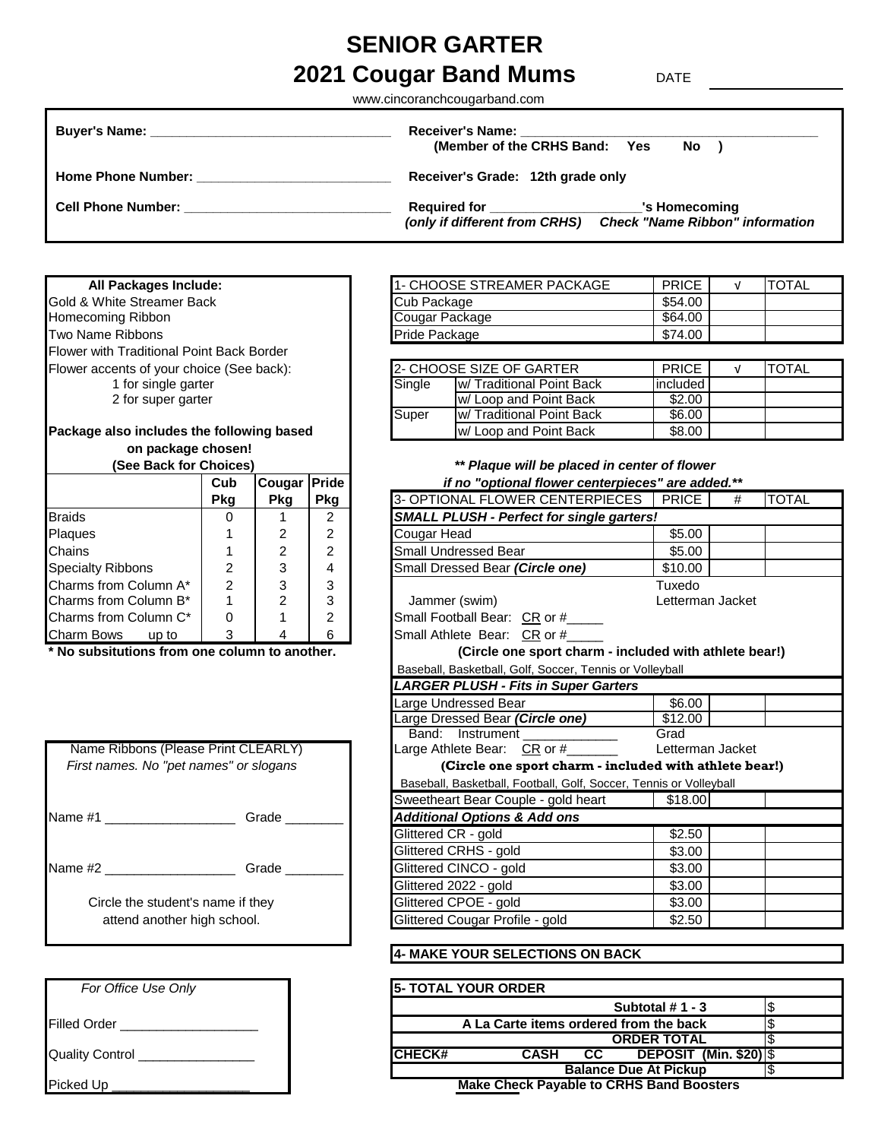# **SENIOR GARTER**

# **2021 Cougar Band Mums** DATE

www.cincoranchcougarband.com

| <b>Buyer's Name:</b><br>the contract of the contract of the contract of the contract of the contract of the contract of the contract of                                                                                             | <b>Receiver's Name:</b><br>(Member of the CRHS Band: Yes<br>$No$ )                                                       |
|-------------------------------------------------------------------------------------------------------------------------------------------------------------------------------------------------------------------------------------|--------------------------------------------------------------------------------------------------------------------------|
| <b>Home Phone Number:</b> And the state of the state of the state of the state of the state of the state of the state of the state of the state of the state of the state of the state of the state of the state of the state of th | Receiver's Grade: 12th grade only                                                                                        |
| <b>Cell Phone Number:</b>                                                                                                                                                                                                           | Required for _______________<br>'s Homecoming<br><b>Check "Name Ribbon" information</b><br>(only if different from CRHS) |

#### **All Packages Include:**

Gold & White Streamer Back Homecoming Ribbon Two Name Ribbons Flower with Traditional Point Back Border Flower accents of your choice (See back): 1 for single garter 2 for super garter

## Package also includes the following based  **on package chosen!**

| <b>OUL DALK IOI UNDICES!</b> |            |            | <b>Flague will be placed in center</b> |                                                  |  |  |  |  |
|------------------------------|------------|------------|----------------------------------------|--------------------------------------------------|--|--|--|--|
|                              | Cub        | Cougar     | <b>IPride</b>                          | if no "optional flower centerpieces              |  |  |  |  |
|                              | <b>Pkg</b> | <b>Pkg</b> | 3- OPTIONAL FLOWER CENTERPIECES<br>Pkg |                                                  |  |  |  |  |
| <b>Braids</b>                | 0          |            | 2                                      | <b>SMALL PLUSH - Perfect for single garters!</b> |  |  |  |  |
| Plaques                      |            |            | 2                                      | Cougar Head                                      |  |  |  |  |
| <b>Chains</b>                |            | 2          | 2                                      | <b>Small Undressed Bear</b>                      |  |  |  |  |
| <b>Specialty Ribbons</b>     | 2          | 3          | 4                                      | Small Dressed Bear (Circle one)                  |  |  |  |  |
| Charms from Column A*        | 2          | 3          | 3                                      |                                                  |  |  |  |  |
| Charms from Column B*        |            | 2          | 3                                      | Jammer (swim)                                    |  |  |  |  |
| Charms from Column C*        | 0          |            | 2                                      | Small Football Bear: CR or #                     |  |  |  |  |
| <b>Charm Bows</b><br>up to   | 3          |            | 6                                      | Small Athlete Bear: CR or #                      |  |  |  |  |

| Name Ribbons (Please Print CLEARLY)    |       | Large Athlete Bear: CR or #__           |
|----------------------------------------|-------|-----------------------------------------|
| First names. No "pet names" or slogans |       | (Circle one sport char.                 |
|                                        |       | Baseball, Basketball, Football, Golf    |
|                                        |       | Sweetheart Bear Couple - gold h         |
| Name #1                                | Grade | <b>Additional Options &amp; Add ons</b> |
|                                        |       | Glittered CR - gold                     |
|                                        |       | Glittered CRHS - gold                   |
| Name #2                                | Grade | Glittered CINCO - gold                  |
|                                        |       | Glittered 2022 - gold                   |
| Circle the student's name if they      |       | Glittered CPOE - gold                   |
| attend another high school.            |       | Glittered Cougar Profile - gold         |

| For Office Use Only             | <b>5- TOTAL YOUR ORDER</b> |
|---------------------------------|----------------------------|
|                                 |                            |
| <b>Filled Order</b>             | A La Carte ite             |
|                                 |                            |
| Quality Control _______________ | ICHECK#<br>CAS             |
|                                 |                            |
| Picked Up                       | <b>Make Check P</b>        |

| <b>11- CHOOSE STREAMER PACKAGE</b> | PRICE   | <b>TOTAL</b> |
|------------------------------------|---------|--------------|
| Cub Package                        | \$54.00 |              |
| Cougar Package                     | \$64.00 |              |
| <b>Pride Package</b>               | \$74.00 |              |

|        | 2- CHOOSE SIZE OF GARTER          | <b>PRICE</b> | <b>ITOTAL</b> |
|--------|-----------------------------------|--------------|---------------|
| Single | <b>Iw/ Traditional Point Back</b> | included     |               |
|        | w/ Loop and Point Back            | \$2.00       |               |
| Super  | <b>Iw/ Traditional Point Back</b> | \$6.00       |               |
|        | w/ Loop and Point Back            | \$8.00       |               |

#### **(See Back for Choices)** *\*\* Plaque will be placed in center of flower*  **Cub Cougar Pride** *if no "optional flower centerpieces" are added.\*\**

|                                                                | Pkg            | Pkg            | <b>Pkg</b>     | 3- OPTIONAL FLOWER CENTERPIECES                                    | <b>PRICE</b>     | # | <b>TOTAL</b> |
|----------------------------------------------------------------|----------------|----------------|----------------|--------------------------------------------------------------------|------------------|---|--------------|
| <b>Braids</b>                                                  | 0              |                | 2              | <b>SMALL PLUSH - Perfect for single garters!</b>                   |                  |   |              |
| Plaques                                                        |                | 2              | 2              | Cougar Head                                                        | \$5.00           |   |              |
| Chains                                                         |                | $\overline{2}$ | 2              | <b>Small Undressed Bear</b>                                        | \$5.00           |   |              |
| Specialty Ribbons                                              | 2              | 3              | 4              | Small Dressed Bear (Circle one)                                    | \$10.00          |   |              |
| Charms from Column A*                                          | $\overline{2}$ | 3              | 3              |                                                                    | Tuxedo           |   |              |
| Charms from Column B*                                          |                | $\overline{2}$ | 3              | Jammer (swim)                                                      | Letterman Jacket |   |              |
| Charms from Column C*                                          | $\Omega$       |                | $\overline{2}$ | Small Football Bear: CR or #____                                   |                  |   |              |
| Charm Bows up to                                               | 3              | 4              | 6              | Small Athlete Bear: CR or #_____                                   |                  |   |              |
| * No subsitutions from one column to another.                  |                |                |                | (Circle one sport charm - included with athlete bear!)             |                  |   |              |
|                                                                |                |                |                | Baseball, Basketball, Golf, Soccer, Tennis or Volleyball           |                  |   |              |
|                                                                |                |                |                | <b>LARGER PLUSH - Fits in Super Garters</b>                        |                  |   |              |
|                                                                |                |                |                | Large Undressed Bear                                               | \$6.00           |   |              |
|                                                                |                |                |                | Large Dressed Bear (Circle one)                                    | \$12.00          |   |              |
|                                                                |                |                |                | Band: Instrument                                                   | Grad             |   |              |
| Name Ribbons (Please Print CLEARLY)                            |                |                |                | Large Athlete Bear: CR or #_______                                 | Letterman Jacket |   |              |
| First names. No "pet names" or slogans                         |                |                |                | (Circle one sport charm - included with athlete bear!)             |                  |   |              |
|                                                                |                |                |                | Baseball, Basketball, Football, Golf, Soccer, Tennis or Volleyball |                  |   |              |
|                                                                |                |                |                | Sweetheart Bear Couple - gold heart                                | \$18.00          |   |              |
| Name #1 ____________________                                   |                | Grade          |                | <b>Additional Options &amp; Add ons</b>                            |                  |   |              |
|                                                                |                |                |                | Glittered CR - gold                                                | \$2.50           |   |              |
|                                                                |                |                |                | Glittered CRHS - gold                                              | \$3.00           |   |              |
|                                                                |                | Grade          |                | Glittered CINCO - gold                                             | \$3.00           |   |              |
|                                                                |                |                |                | Glittered 2022 - gold                                              | \$3.00           |   |              |
| Circle the student's name if they                              |                |                |                | Glittered CPOE - gold                                              | \$3.00           |   |              |
| Glittered Cougar Profile - gold<br>attend another high school. |                |                |                | \$2.50                                                             |                  |   |              |

### **4- MAKE YOUR SELECTIONS ON BACK**

| For Office Use Only | <b>15- TOTAL YOUR ORDER</b>                            |  |  |  |  |  |
|---------------------|--------------------------------------------------------|--|--|--|--|--|
|                     | Subtotal #1 - 3                                        |  |  |  |  |  |
| Filled Order        | A La Carte items ordered from the back                 |  |  |  |  |  |
|                     | <b>ORDER TOTAL</b>                                     |  |  |  |  |  |
| Quality Control     | ICHECK#<br><b>DEPOSIT (Min. \$20) S</b><br>CASH<br>CC. |  |  |  |  |  |
|                     | <b>Balance Due At Pickup</b>                           |  |  |  |  |  |
| Picked Up           | <b>Make Check Payable to CRHS Band Boosters</b>        |  |  |  |  |  |